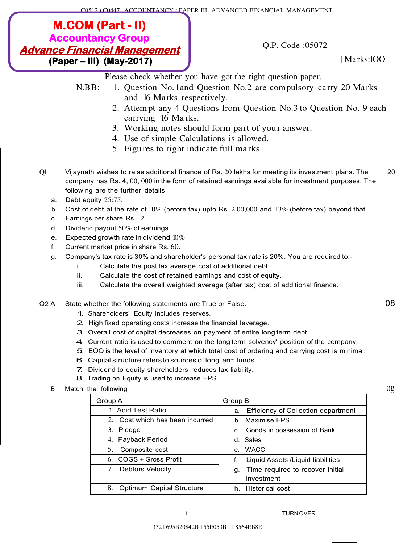C0512 *I* C0447 ACCOUNTANCY : PAPER III ADVANCED FINANCIAL MANAGEMENT.

# **(Paper – III) (May-2017)**  $\qquad \qquad$  **f** Marks:100] **M.COM (Part - II) Accountancy Group Advance Financial Management**

Q.P. Code :05072

Please check whether you have got the right question paper.

- N.BB: 1. Question No. 1and Question No.2 are compulsory carry 20 Marks and 16 Marks respectively.
	- 2. Attem pt any 4 Questions from Question No.3 to Question No. 9 each carrying 16 Ma rks.
	- 3. Working notes should form part of your answer.
	- 4. Use of simple Calculations is allowed.
	- 5. Figures to right indicate full marks.
- Ql Vijaynath wishes to raise additional finance of Rs. 20 lakhs for meeting its investment plans. The 20 company has Rs. 4, 00, 000 in the form of retained earnings available for investment purposes. The following are the further details.
	- a. Debt equity 25:75.
	- b. Cost of debt at the rate of 10% (before tax) upto Rs. 2,00,000 and 13% (before tax) beyond that.
	- c. Earnings per share Rs. 12.
	- d. Dividend payout 50% of earnings.
	- e. Expected growth rate in dividend  $10\%$
	- f. Current market price in share Rs. 60.
	- g. Company's tax rate is 30% and shareholder's personal tax rate is 20%. You are required to:
		- i. Calculate the post tax average cost of additional debt.
		- ii. Calculate the cost of retained earnings and cost of equity.
		- iii. Calculate the overall weighted average (after tax) cost of additional finance.

#### Q2 A State whether the following statements are True or False. 08

- 1. Shareholders' Equity includes reserves.
- 2. High fixed operating costs increase the financial leverage.
- 3. Overall cost of capital decreases on payment of entire long term debt.
- 4. Current ratio is used to comment on the long term solvency' position of the company.
- 5. EOQ is the level of inventory at which total cost of ordering and carrying cost is minimal.
- 6. Capital structure refers to sources of long term funds.
- 7. Dividend to equity shareholders reduces tax liability.
- 8 Trading on Equity is used to increase EPS.
- B Match the following  $0g$

| Group A                         | Group B                                          |
|---------------------------------|--------------------------------------------------|
| 1. Acid Test Ratio              | <b>Efficiency of Collection department</b><br>a. |
| 2. Cost which has been incurred | b. Maximise EPS                                  |
| 3. Pledge                       | Goods in possession of Bank<br>C.                |
| 4. Payback Period               | d. Sales                                         |
| Composite cost<br>5.            | e. WACC                                          |
| 6. COGS + Gross Profit          | Liquid Assets / Liquid liabilities               |
| 7. Debtors Velocity             | Time required to recover initial<br>g.           |
|                                 | investment                                       |
| 8.<br>Optimum Capital Structure | h. Historical cost                               |

1 TURN OVER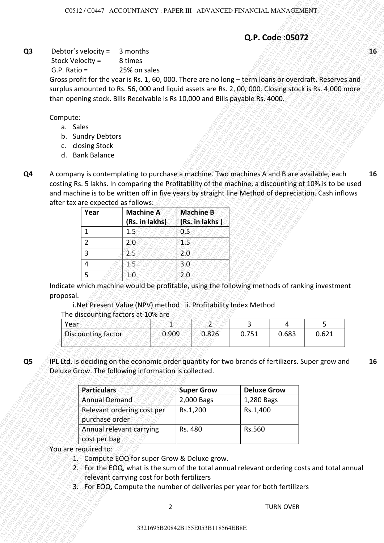## **Q.P. Code :05072**

- a. Sales
- b. Sundry Debtors
- c. closing Stock
- d. Bank Balance
- **Q4** A company is contemplating to purchase a machine. Two machines A and B are available, each costing Rs. 5 lakhs. In comparing the Profitability of the machine, a discounting of 10% is to be used and machine is to be written off in five years by straight line Method of depreciation. Cash inflows after tax are expected as follows:  $\sqrt{8}$ **16**

| Year | <b>Machine A</b><br>(Rs. in lakhs) | <b>Machine B</b><br>(Rs. in lakhs) |
|------|------------------------------------|------------------------------------|
|      | 1.5                                |                                    |
| 2    | 2.U                                |                                    |
| 3    | 25                                 | 2.0                                |
|      |                                    | 3.0                                |
|      |                                    |                                    |

| The discounting factors at 10% are |  |  |  |
|------------------------------------|--|--|--|
|                                    |  |  |  |
|                                    |  |  |  |
|                                    |  |  |  |

| Year               |       |       |       |       |       |
|--------------------|-------|-------|-------|-------|-------|
| Discounting factor | 0.909 | 0.826 | 0.751 | 0.683 | 0.621 |
|                    |       |       |       |       |       |

|                |                                                                                                                                                                                        |                                            |                                              |       |            |                                                                                               |                                  | Q.P. Code:05072  |       |    |
|----------------|----------------------------------------------------------------------------------------------------------------------------------------------------------------------------------------|--------------------------------------------|----------------------------------------------|-------|------------|-----------------------------------------------------------------------------------------------|----------------------------------|------------------|-------|----|
| Q <sub>3</sub> | Debtor's velocity =                                                                                                                                                                    |                                            | 3 months                                     |       |            |                                                                                               |                                  |                  |       | 16 |
|                | Stock Velocity =                                                                                                                                                                       |                                            | 8 times                                      |       |            |                                                                                               |                                  |                  |       |    |
|                | $G.P. Ratio =$<br>Gross profit for the year is Rs. 1, 60, 000. There are no long - term loans or overdraft. Reserves and                                                               |                                            | 25% on sales                                 |       |            |                                                                                               |                                  |                  |       |    |
|                | surplus amounted to Rs. 56, 000 and liquid assets are Rs. 2, 00, 000. Closing stock is Rs. 4,000 more<br>than opening stock. Bills Receivable is Rs 10,000 and Bills payable Rs. 4000. |                                            |                                              |       |            |                                                                                               |                                  |                  |       |    |
|                | Compute:                                                                                                                                                                               |                                            |                                              |       |            |                                                                                               |                                  |                  |       |    |
|                | a. Sales                                                                                                                                                                               |                                            |                                              |       |            |                                                                                               |                                  |                  |       |    |
|                | b. Sundry Debtors<br>c. closing Stock                                                                                                                                                  |                                            |                                              |       |            |                                                                                               |                                  |                  |       |    |
|                | <b>Bank Balance</b><br>d.                                                                                                                                                              |                                            |                                              |       |            |                                                                                               |                                  |                  |       |    |
|                | A company is contemplating to purchase a machine. Two machines A and B are available, each                                                                                             |                                            |                                              |       |            |                                                                                               |                                  |                  |       | 16 |
| Q <sub>4</sub> | costing Rs. 5 lakhs. In comparing the Profitability of the machine, a discounting of 10% is to be used                                                                                 |                                            |                                              |       |            |                                                                                               |                                  |                  |       |    |
|                | and machine is to be written off in five years by straight line Method of depreciation. Cash inflows                                                                                   |                                            |                                              |       |            |                                                                                               |                                  |                  |       |    |
|                | after tax are expected as follows:<br>Year                                                                                                                                             |                                            | <b>Machine A</b>                             |       |            | <b>Machine B</b>                                                                              |                                  |                  |       |    |
|                |                                                                                                                                                                                        |                                            | (Rs. in lakhs)                               |       |            | (Rs. in lakhs)                                                                                |                                  |                  |       |    |
|                | 1                                                                                                                                                                                      |                                            | 1.5                                          |       | 0.5        |                                                                                               |                                  |                  |       |    |
|                | $\overline{2}$                                                                                                                                                                         |                                            | 2.0                                          |       | 15         |                                                                                               |                                  |                  |       |    |
|                | 3<br>4                                                                                                                                                                                 |                                            | 2.5<br>15                                    |       | 2.0<br>3.0 |                                                                                               |                                  |                  |       |    |
|                | 5                                                                                                                                                                                      |                                            | 1.0                                          |       | 2.0        |                                                                                               |                                  |                  |       |    |
|                |                                                                                                                                                                                        |                                            |                                              |       |            |                                                                                               |                                  |                  |       |    |
|                |                                                                                                                                                                                        |                                            |                                              |       |            |                                                                                               |                                  |                  |       |    |
|                | proposal.                                                                                                                                                                              |                                            |                                              |       |            | Indicate which machine would be profitable, using the following methods of ranking investment |                                  |                  |       |    |
|                |                                                                                                                                                                                        |                                            |                                              |       |            | i. Net Present Value (NPV) method ii. Profitability Index Method                              |                                  |                  |       |    |
|                | Year                                                                                                                                                                                   |                                            | The discounting factors at 10% are           | 1     |            | $\mathfrak{A}$                                                                                | 3                                | 4                | 5     |    |
|                | Discounting factor                                                                                                                                                                     |                                            |                                              | 0.909 |            | 0.826                                                                                         | 0.751                            | 0.683            | 0.621 |    |
|                |                                                                                                                                                                                        |                                            |                                              |       |            |                                                                                               |                                  |                  |       |    |
| Q <sub>5</sub> | IPL Ltd. is deciding on the economic order quantity for two brands of fertilizers. Super grow and                                                                                      |                                            |                                              |       |            |                                                                                               |                                  |                  |       |    |
|                | Deluxe Grow. The following information is collected.                                                                                                                                   |                                            |                                              |       |            |                                                                                               |                                  |                  |       |    |
|                |                                                                                                                                                                                        |                                            |                                              |       |            |                                                                                               |                                  |                  |       |    |
|                |                                                                                                                                                                                        | <b>Particulars</b><br><b>Annual Demand</b> |                                              |       |            | <b>Super Grow</b><br>2,000 Bags                                                               | <b>Deluxe Grow</b><br>1,280 Bags |                  |       |    |
|                |                                                                                                                                                                                        |                                            | Relevant ordering cost per                   |       |            | Rs.1,200                                                                                      | Rs.1,400                         |                  |       |    |
|                |                                                                                                                                                                                        | purchase order                             |                                              |       |            |                                                                                               |                                  |                  |       |    |
|                |                                                                                                                                                                                        | cost per bag                               | Annual relevant carrying                     |       | Rs. 480    |                                                                                               | Rs.560                           |                  |       |    |
|                | You are required to:                                                                                                                                                                   |                                            |                                              |       |            |                                                                                               |                                  |                  |       |    |
|                |                                                                                                                                                                                        |                                            | 1. Compute EOQ for super Grow & Deluxe grow. |       |            |                                                                                               |                                  |                  |       |    |
|                |                                                                                                                                                                                        |                                            |                                              |       |            | 2. For the EOQ, what is the sum of the total annual relevant ordering costs and total annual  |                                  |                  |       |    |
|                |                                                                                                                                                                                        |                                            | relevant carrying cost for both fertilizers  |       |            | 3. For EOQ, Compute the number of deliveries per year for both fertilizers                    |                                  |                  |       |    |
|                |                                                                                                                                                                                        |                                            |                                              |       |            |                                                                                               |                                  |                  |       |    |
|                |                                                                                                                                                                                        |                                            |                                              | 2     |            |                                                                                               |                                  | <b>TURN OVER</b> |       | 16 |
|                |                                                                                                                                                                                        |                                            |                                              |       |            | 3321695B20842B155E053B118564EB8E                                                              |                                  |                  |       |    |

- 1. Compute EOQ for super Grow & Deluxe grow.
- 2. For the EOQ, what is the sum of the total annual relevant ordering costs and total annual relevant carrying cost for both fertilizers
- 3. For EOQ, Compute the number of deliveries per year for both fertilizers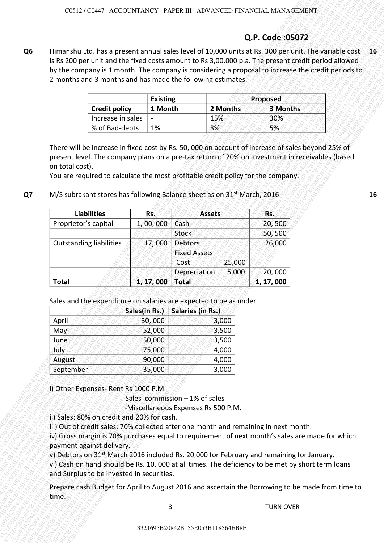# **Q.P. Code :05072**

|                                 | <b>Existing</b>          | Proposed |          |  |  |
|---------------------------------|--------------------------|----------|----------|--|--|
| <b>Credit policy</b><br>1 Month |                          | 2 Months | 3 Months |  |  |
| Increase in sales               | $\overline{\phantom{0}}$ | 15%      | 30%      |  |  |
| % of Bad-debts                  | 1%                       | 3%       | 5%       |  |  |

| Himanshu Ltd. has a present annual sales level of 10,000 units at Rs. 300 per unit. The variable cost 16<br>is Rs 200 per unit and the fixed costs amount to Rs 3,00,000 p.a. The present credit period allowed<br>by the company is 1 month. The company is considering a proposal to increase the credit periods to<br>2 months and 3 months and has made the following estimates.<br><b>Existing</b><br>Proposed<br><b>Credit policy</b><br>1 Month<br>2 Months<br>3 Months<br>Increase in sales<br>30%<br>15%<br>% of Bad-debts<br>3%<br>5%<br>1%<br>There will be increase in fixed cost by Rs. 50, 000 on account of increase of sales beyond 25% of<br>present level. The company plans on a pre-tax return of 20% on Investment in receivables (based<br>on total cost).<br>You are required to calculate the most profitable credit policy for the company.<br>M/S subrakant stores has following Balance sheet as on 31 <sup>st</sup> March, 2016<br><b>Liabilities</b><br>Rs.<br>Rs.<br><b>Assets</b><br>Proprietor's capital<br>1, 00, 000<br>Cash<br>20,500<br>50,500<br>Stock<br><b>Outstanding liabilities</b><br>17,000<br>Debtors<br>26,000<br><b>Fixed Assets</b><br>25,000<br>Cost<br>5,000<br>20,000<br>Depreciation<br>1, 17, 000<br><b>Total</b><br>Total<br>1, 17, 000<br>Sales and the expenditure on salaries are expected to be as under.<br>Salaries (in Rs.)<br>Sales(in Rs.)<br>30,000<br>3,000<br>April<br>52,000<br>3,500<br>May<br>50,000<br>3,500<br>June<br>July<br>75,000<br>4,000<br>90,000<br>August<br>4,000<br>September<br>35,000<br>3,000<br>i) Other Expenses-Rent Rs 1000 P.M.<br>-Sales commission $-1%$ of sales<br>-Miscellaneous Expenses Rs 500 P.M.<br>ii) Sales: 80% on credit and 20% for cash.<br>iii) Out of credit sales: 70% collected after one month and remaining in next month.<br>iv) Gross margin is 70% purchases equal to requirement of next month's sales are made for which<br>payment against delivery.<br>v) Debtors on 31 <sup>st</sup> March 2016 included Rs. 20,000 for February and remaining for January.<br>vi) Cash on hand should be Rs. 10, 000 at all times. The deficiency to be met by short term loans<br>and Surplus to be invested in securities.<br>Prepare cash Budget for April to August 2016 and ascertain the Borrowing to be made from time to<br>time. |  |   | Q.P. Code:05072  |  |
|----------------------------------------------------------------------------------------------------------------------------------------------------------------------------------------------------------------------------------------------------------------------------------------------------------------------------------------------------------------------------------------------------------------------------------------------------------------------------------------------------------------------------------------------------------------------------------------------------------------------------------------------------------------------------------------------------------------------------------------------------------------------------------------------------------------------------------------------------------------------------------------------------------------------------------------------------------------------------------------------------------------------------------------------------------------------------------------------------------------------------------------------------------------------------------------------------------------------------------------------------------------------------------------------------------------------------------------------------------------------------------------------------------------------------------------------------------------------------------------------------------------------------------------------------------------------------------------------------------------------------------------------------------------------------------------------------------------------------------------------------------------------------------------------------------------------------------------------------------------------------------------------------------------------------------------------------------------------------------------------------------------------------------------------------------------------------------------------------------------------------------------------------------------------------------------------------------------------------------------------------------------------------------------------------------------------------------------------------|--|---|------------------|--|
|                                                                                                                                                                                                                                                                                                                                                                                                                                                                                                                                                                                                                                                                                                                                                                                                                                                                                                                                                                                                                                                                                                                                                                                                                                                                                                                                                                                                                                                                                                                                                                                                                                                                                                                                                                                                                                                                                                                                                                                                                                                                                                                                                                                                                                                                                                                                                    |  |   |                  |  |
|                                                                                                                                                                                                                                                                                                                                                                                                                                                                                                                                                                                                                                                                                                                                                                                                                                                                                                                                                                                                                                                                                                                                                                                                                                                                                                                                                                                                                                                                                                                                                                                                                                                                                                                                                                                                                                                                                                                                                                                                                                                                                                                                                                                                                                                                                                                                                    |  |   |                  |  |
|                                                                                                                                                                                                                                                                                                                                                                                                                                                                                                                                                                                                                                                                                                                                                                                                                                                                                                                                                                                                                                                                                                                                                                                                                                                                                                                                                                                                                                                                                                                                                                                                                                                                                                                                                                                                                                                                                                                                                                                                                                                                                                                                                                                                                                                                                                                                                    |  |   |                  |  |
|                                                                                                                                                                                                                                                                                                                                                                                                                                                                                                                                                                                                                                                                                                                                                                                                                                                                                                                                                                                                                                                                                                                                                                                                                                                                                                                                                                                                                                                                                                                                                                                                                                                                                                                                                                                                                                                                                                                                                                                                                                                                                                                                                                                                                                                                                                                                                    |  |   |                  |  |
|                                                                                                                                                                                                                                                                                                                                                                                                                                                                                                                                                                                                                                                                                                                                                                                                                                                                                                                                                                                                                                                                                                                                                                                                                                                                                                                                                                                                                                                                                                                                                                                                                                                                                                                                                                                                                                                                                                                                                                                                                                                                                                                                                                                                                                                                                                                                                    |  |   |                  |  |
|                                                                                                                                                                                                                                                                                                                                                                                                                                                                                                                                                                                                                                                                                                                                                                                                                                                                                                                                                                                                                                                                                                                                                                                                                                                                                                                                                                                                                                                                                                                                                                                                                                                                                                                                                                                                                                                                                                                                                                                                                                                                                                                                                                                                                                                                                                                                                    |  |   |                  |  |
|                                                                                                                                                                                                                                                                                                                                                                                                                                                                                                                                                                                                                                                                                                                                                                                                                                                                                                                                                                                                                                                                                                                                                                                                                                                                                                                                                                                                                                                                                                                                                                                                                                                                                                                                                                                                                                                                                                                                                                                                                                                                                                                                                                                                                                                                                                                                                    |  |   |                  |  |
|                                                                                                                                                                                                                                                                                                                                                                                                                                                                                                                                                                                                                                                                                                                                                                                                                                                                                                                                                                                                                                                                                                                                                                                                                                                                                                                                                                                                                                                                                                                                                                                                                                                                                                                                                                                                                                                                                                                                                                                                                                                                                                                                                                                                                                                                                                                                                    |  |   |                  |  |
|                                                                                                                                                                                                                                                                                                                                                                                                                                                                                                                                                                                                                                                                                                                                                                                                                                                                                                                                                                                                                                                                                                                                                                                                                                                                                                                                                                                                                                                                                                                                                                                                                                                                                                                                                                                                                                                                                                                                                                                                                                                                                                                                                                                                                                                                                                                                                    |  |   |                  |  |
|                                                                                                                                                                                                                                                                                                                                                                                                                                                                                                                                                                                                                                                                                                                                                                                                                                                                                                                                                                                                                                                                                                                                                                                                                                                                                                                                                                                                                                                                                                                                                                                                                                                                                                                                                                                                                                                                                                                                                                                                                                                                                                                                                                                                                                                                                                                                                    |  |   |                  |  |
|                                                                                                                                                                                                                                                                                                                                                                                                                                                                                                                                                                                                                                                                                                                                                                                                                                                                                                                                                                                                                                                                                                                                                                                                                                                                                                                                                                                                                                                                                                                                                                                                                                                                                                                                                                                                                                                                                                                                                                                                                                                                                                                                                                                                                                                                                                                                                    |  |   |                  |  |
|                                                                                                                                                                                                                                                                                                                                                                                                                                                                                                                                                                                                                                                                                                                                                                                                                                                                                                                                                                                                                                                                                                                                                                                                                                                                                                                                                                                                                                                                                                                                                                                                                                                                                                                                                                                                                                                                                                                                                                                                                                                                                                                                                                                                                                                                                                                                                    |  |   |                  |  |
|                                                                                                                                                                                                                                                                                                                                                                                                                                                                                                                                                                                                                                                                                                                                                                                                                                                                                                                                                                                                                                                                                                                                                                                                                                                                                                                                                                                                                                                                                                                                                                                                                                                                                                                                                                                                                                                                                                                                                                                                                                                                                                                                                                                                                                                                                                                                                    |  |   |                  |  |
|                                                                                                                                                                                                                                                                                                                                                                                                                                                                                                                                                                                                                                                                                                                                                                                                                                                                                                                                                                                                                                                                                                                                                                                                                                                                                                                                                                                                                                                                                                                                                                                                                                                                                                                                                                                                                                                                                                                                                                                                                                                                                                                                                                                                                                                                                                                                                    |  |   |                  |  |
|                                                                                                                                                                                                                                                                                                                                                                                                                                                                                                                                                                                                                                                                                                                                                                                                                                                                                                                                                                                                                                                                                                                                                                                                                                                                                                                                                                                                                                                                                                                                                                                                                                                                                                                                                                                                                                                                                                                                                                                                                                                                                                                                                                                                                                                                                                                                                    |  |   |                  |  |
|                                                                                                                                                                                                                                                                                                                                                                                                                                                                                                                                                                                                                                                                                                                                                                                                                                                                                                                                                                                                                                                                                                                                                                                                                                                                                                                                                                                                                                                                                                                                                                                                                                                                                                                                                                                                                                                                                                                                                                                                                                                                                                                                                                                                                                                                                                                                                    |  |   |                  |  |
|                                                                                                                                                                                                                                                                                                                                                                                                                                                                                                                                                                                                                                                                                                                                                                                                                                                                                                                                                                                                                                                                                                                                                                                                                                                                                                                                                                                                                                                                                                                                                                                                                                                                                                                                                                                                                                                                                                                                                                                                                                                                                                                                                                                                                                                                                                                                                    |  |   |                  |  |
|                                                                                                                                                                                                                                                                                                                                                                                                                                                                                                                                                                                                                                                                                                                                                                                                                                                                                                                                                                                                                                                                                                                                                                                                                                                                                                                                                                                                                                                                                                                                                                                                                                                                                                                                                                                                                                                                                                                                                                                                                                                                                                                                                                                                                                                                                                                                                    |  |   |                  |  |
|                                                                                                                                                                                                                                                                                                                                                                                                                                                                                                                                                                                                                                                                                                                                                                                                                                                                                                                                                                                                                                                                                                                                                                                                                                                                                                                                                                                                                                                                                                                                                                                                                                                                                                                                                                                                                                                                                                                                                                                                                                                                                                                                                                                                                                                                                                                                                    |  |   |                  |  |
|                                                                                                                                                                                                                                                                                                                                                                                                                                                                                                                                                                                                                                                                                                                                                                                                                                                                                                                                                                                                                                                                                                                                                                                                                                                                                                                                                                                                                                                                                                                                                                                                                                                                                                                                                                                                                                                                                                                                                                                                                                                                                                                                                                                                                                                                                                                                                    |  |   |                  |  |
|                                                                                                                                                                                                                                                                                                                                                                                                                                                                                                                                                                                                                                                                                                                                                                                                                                                                                                                                                                                                                                                                                                                                                                                                                                                                                                                                                                                                                                                                                                                                                                                                                                                                                                                                                                                                                                                                                                                                                                                                                                                                                                                                                                                                                                                                                                                                                    |  |   |                  |  |
|                                                                                                                                                                                                                                                                                                                                                                                                                                                                                                                                                                                                                                                                                                                                                                                                                                                                                                                                                                                                                                                                                                                                                                                                                                                                                                                                                                                                                                                                                                                                                                                                                                                                                                                                                                                                                                                                                                                                                                                                                                                                                                                                                                                                                                                                                                                                                    |  |   |                  |  |
|                                                                                                                                                                                                                                                                                                                                                                                                                                                                                                                                                                                                                                                                                                                                                                                                                                                                                                                                                                                                                                                                                                                                                                                                                                                                                                                                                                                                                                                                                                                                                                                                                                                                                                                                                                                                                                                                                                                                                                                                                                                                                                                                                                                                                                                                                                                                                    |  | 3 | <b>TURN OVER</b> |  |

| Sales(in Rs.) | <b>Salaries (in Rs.)</b> |
|---------------|--------------------------|
| 30,000        | 3,000                    |
| 52,000        | 3,500                    |
| 50,000        | 3,500                    |
| 75,000        | 4,000                    |
| 90,000        | 4,000                    |
| 35,000        | 3,000                    |
|               |                          |